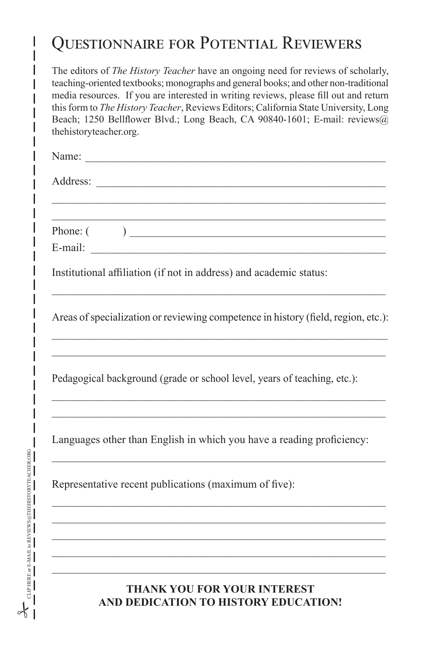## Questionnaire for Potential Reviewers

The editors of *The History Teacher* have an ongoing need for reviews of scholarly, teaching-oriented textbooks; monographs and general books; and other non-traditional media resources. If you are interested in writing reviews, please fill out and return this form to *The History Teacher*, Reviews Editors; California State University, Long Beach; 1250 Bellflower Blvd.; Long Beach, CA 90840-1601; E-mail: reviews@ thehistoryteacher.org.

| Name:    |  |  |  |
|----------|--|--|--|
| Address: |  |  |  |
|          |  |  |  |
|          |  |  |  |
| Phone: ( |  |  |  |
| E-mail:  |  |  |  |

Institutional affiliation (if not in address) and academic status:

Areas of specialization or reviewing competence in history (field, region, etc.):  $\_$  , and the set of the set of the set of the set of the set of the set of the set of the set of the set of the set of the set of the set of the set of the set of the set of the set of the set of the set of the set of th

\_\_\_\_\_\_\_\_\_\_\_\_\_\_\_\_\_\_\_\_\_\_\_\_\_\_\_\_\_\_\_\_\_\_\_\_\_\_\_\_\_\_\_\_\_\_\_\_\_\_\_\_\_\_\_\_\_\_\_\_

\_\_\_\_\_\_\_\_\_\_\_\_\_\_\_\_\_\_\_\_\_\_\_\_\_\_\_\_\_\_\_\_\_\_\_\_\_\_\_\_\_\_\_\_\_\_\_\_\_\_\_\_\_\_\_\_\_\_\_\_ \_\_\_\_\_\_\_\_\_\_\_\_\_\_\_\_\_\_\_\_\_\_\_\_\_\_\_\_\_\_\_\_\_\_\_\_\_\_\_\_\_\_\_\_\_\_\_\_\_\_\_\_\_\_\_\_\_\_\_\_

\_\_\_\_\_\_\_\_\_\_\_\_\_\_\_\_\_\_\_\_\_\_\_\_\_\_\_\_\_\_\_\_\_\_\_\_\_\_\_\_\_\_\_\_\_\_\_\_\_\_\_\_\_\_\_\_\_\_\_\_

Pedagogical background (grade or school level, years of teaching, etc.):

Languages other than English in which you have a reading proficiency:

\_\_\_\_\_\_\_\_\_\_\_\_\_\_\_\_\_\_\_\_\_\_\_\_\_\_\_\_\_\_\_\_\_\_\_\_\_\_\_\_\_\_\_\_\_\_\_\_\_\_\_\_\_\_\_\_\_\_\_\_

\_\_\_\_\_\_\_\_\_\_\_\_\_\_\_\_\_\_\_\_\_\_\_\_\_\_\_\_\_\_\_\_\_\_\_\_\_\_\_\_\_\_\_\_\_\_\_\_\_\_\_\_\_\_\_\_\_\_\_\_ \_\_\_\_\_\_\_\_\_\_\_\_\_\_\_\_\_\_\_\_\_\_\_\_\_\_\_\_\_\_\_\_\_\_\_\_\_\_\_\_\_\_\_\_\_\_\_\_\_\_\_\_\_\_\_\_\_\_\_\_ \_\_\_\_\_\_\_\_\_\_\_\_\_\_\_\_\_\_\_\_\_\_\_\_\_\_\_\_\_\_\_\_\_\_\_\_\_\_\_\_\_\_\_\_\_\_\_\_\_\_\_\_\_\_\_\_\_\_\_\_ \_\_\_\_\_\_\_\_\_\_\_\_\_\_\_\_\_\_\_\_\_\_\_\_\_\_\_\_\_\_\_\_\_\_\_\_\_\_\_\_\_\_\_\_\_\_\_\_\_\_\_\_\_\_\_\_\_\_\_\_ \_\_\_\_\_\_\_\_\_\_\_\_\_\_\_\_\_\_\_\_\_\_\_\_\_\_\_\_\_\_\_\_\_\_\_\_\_\_\_\_\_\_\_\_\_\_\_\_\_\_\_\_\_\_\_\_\_\_\_\_

Representative recent publications (maximum of five):

## **THANK YOU FOR YOUR INTEREST AND DEDICATION TO HISTORY EDUCATION!**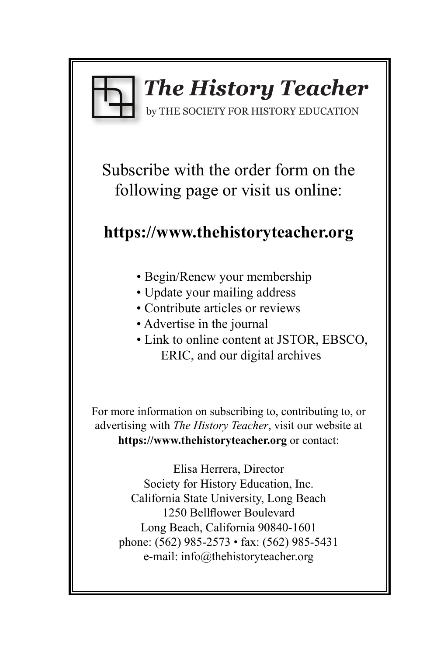

# *The History Teacher*

by THE SOCIETY FOR HISTORY EDUCATION

Subscribe with the order form on the following page or visit us online:

## **https://www.thehistoryteacher.org**

- Begin/Renew your membership
- Update your mailing address
- Contribute articles or reviews
- Advertise in the journal
- Link to online content at JSTOR, EBSCO, ERIC, and our digital archives

For more information on subscribing to, contributing to, or advertising with *The History Teacher*, visit our website at **https://www.thehistoryteacher.org** or contact:

Elisa Herrera, Director Society for History Education, Inc. California State University, Long Beach 1250 Bellflower Boulevard Long Beach, California 90840-1601 phone: (562) 985-2573 • fax: (562) 985-5431 e-mail: info@thehistoryteacher.org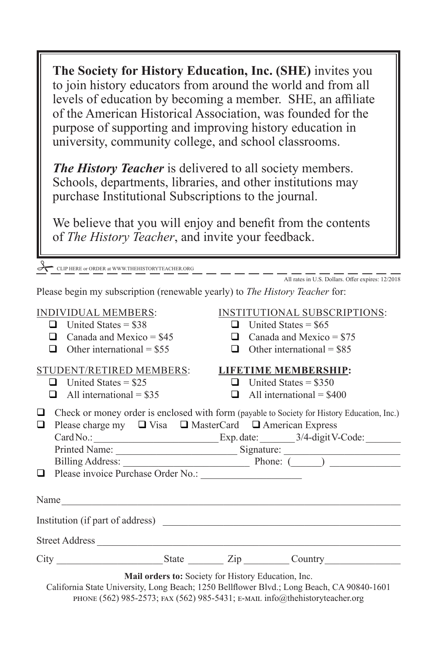**The Society for History Education, Inc. (SHE)** invites you to join history educators from around the world and from all levels of education by becoming a member. SHE, an affiliate of the American Historical Association, was founded for the purpose of supporting and improving history education in university, community college, and school classrooms.

*The History Teacher* is delivered to all society members. Schools, departments, libraries, and other institutions may purchase Institutional Subscriptions to the journal.

We believe that you will enjoy and benefit from the contents of *The History Teacher*, and invite your feedback.

CLIP HERE or ORDER at WWW.THEHISTORYTEACHER.ORG

All rates in U.S. Dollars. Offer expires: 12/2018

Please begin my subscription (renewable yearly) to *The History Teacher* for:

- $\Box$  United States = \$38  $\Box$  United States = \$65
- 
- 

### STUDENT/RETIRED MEMBERS: **LIFETIME MEMBERSHIP:**

- 
- 

### INDIVIDUAL MEMBERS: INSTITUTIONAL SUBSCRIPTIONS:

- 
- $\Box$  Canada and Mexico = \$45  $\Box$  Canada and Mexico = \$75
- Other international =  $$55$  Other international =  $$85$

- $\Box$  United States = \$25  $\Box$  United States = \$350
- $\Box$  All international = \$35  $\Box$  All international = \$400

|  |  | □ Check or money order is enclosed with form (payable to Society for History Education, Inc.) |  |
|--|--|-----------------------------------------------------------------------------------------------|--|
|  |  | $\Box$ Please charge my $\Box$ Visa $\Box$ MasterCard $\Box$ American Express                 |  |

| $CardNo.$ :   | Exp. date: | 3/4-digit V-Code: |
|---------------|------------|-------------------|
| Printed Name: | Signature: |                   |

|      | Billing Address:                          | Phone: |
|------|-------------------------------------------|--------|
|      | $\Box$ Please invoice Purchase Order No.: |        |
|      |                                           |        |
| Name |                                           |        |
|      | Institution (if part of address)          |        |
|      | <b>Street Address</b>                     |        |
|      |                                           |        |

City State  $\overline{C}$  State  $\overline{C}$   $\overline{C}$   $\overline{C}$   $\overline{C}$   $\overline{C}$   $\overline{C}$   $\overline{C}$   $\overline{C}$   $\overline{C}$   $\overline{C}$   $\overline{C}$   $\overline{C}$   $\overline{C}$   $\overline{C}$   $\overline{C}$   $\overline{C}$   $\overline{C}$   $\overline{C}$   $\overline{C}$   $\overline{C}$   $\overline{C}$   $\overline{C}$ 

**Mail orders to:** Society for History Education, Inc.

California State University, Long Beach; 1250 Bellflower Blvd.; Long Beach, CA 90840-1601 phone (562) 985-2573; fax (562) 985-5431; e-mail info@thehistoryteacher.org